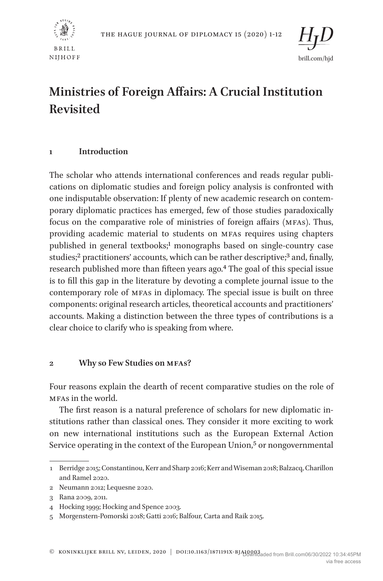



# **Ministries of Foreign Affairs: A Crucial Institution Revisited**

# **1 Introduction**

The scholar who attends international conferences and reads regular publications on diplomatic studies and foreign policy analysis is confronted with one indisputable observation: If plenty of new academic research on contemporary diplomatic practices has emerged, few of those studies paradoxically focus on the comparative role of ministries of foreign affairs (MFAs). Thus, providing academic material to students on MFAs requires using chapters published in general textbooks;1 monographs based on single-country case studies;<sup>2</sup> practitioners' accounts, which can be rather descriptive;<sup>3</sup> and, finally, research published more than fifteen years ago.4 The goal of this special issue is to fill this gap in the literature by devoting a complete journal issue to the contemporary role of MFAs in diplomacy. The special issue is built on three components: original research articles, theoretical accounts and practitioners' accounts. Making a distinction between the three types of contributions is a clear choice to clarify who is speaking from where.

# **2 Why so Few Studies on MFAs?**

Four reasons explain the dearth of recent comparative studies on the role of MFAs in the world.

The first reason is a natural preference of scholars for new diplomatic institutions rather than classical ones. They consider it more exciting to work on new international institutions such as the European External Action Service operating in the context of the European Union,<sup>5</sup> or nongovernmental

<sup>1</sup> Berridge 2015; Constantinou, Kerr and Sharp 2016; Kerr and Wiseman 2018; Balzacq, Charillon and Ramel 2020.

<sup>2</sup> Neumann 2012; Lequesne 2020.

<sup>3</sup> Rana 2009, 2011.

<sup>4</sup> Hocking 1999; Hocking and Spence 2003.

<sup>5</sup> Morgenstern-Pomorski 2018; Gatti 2016; Balfour, Carta and Raik 2015.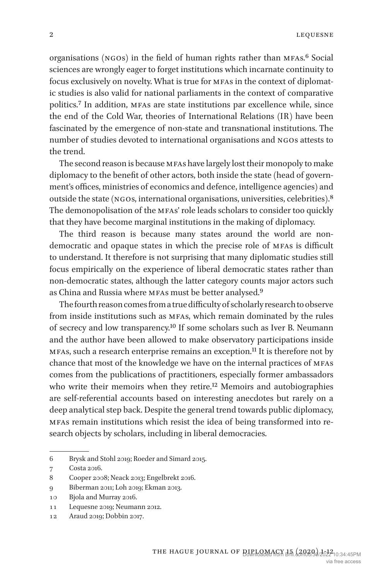organisations (NGOs) in the field of human rights rather than MFAs.6 Social sciences are wrongly eager to forget institutions which incarnate continuity to focus exclusively on novelty. What is true for MFAs in the context of diplomatic studies is also valid for national parliaments in the context of comparative politics.7 In addition, MFAs are state institutions par excellence while, since the end of the Cold War, theories of International Relations (IR) have been fascinated by the emergence of non-state and transnational institutions. The number of studies devoted to international organisations and NGOs attests to the trend.

The second reason is because MFAs have largely lost their monopoly to make diplomacy to the benefit of other actors, both inside the state (head of government's offices, ministries of economics and defence, intelligence agencies) and outside the state (NGOs, international organisations, universities, celebrities).8 The demonopolisation of the MFAs' role leads scholars to consider too quickly that they have become marginal institutions in the making of diplomacy.

The third reason is because many states around the world are nondemocratic and opaque states in which the precise role of MFAs is difficult to understand. It therefore is not surprising that many diplomatic studies still focus empirically on the experience of liberal democratic states rather than non-democratic states, although the latter category counts major actors such as China and Russia where MFAs must be better analysed.9

The fourth reason comes from a true difficulty of scholarly research to observe from inside institutions such as MFAs, which remain dominated by the rules of secrecy and low transparency.10 If some scholars such as Iver B. Neumann and the author have been allowed to make observatory participations inside MFAs, such a research enterprise remains an exception.11 It is therefore not by chance that most of the knowledge we have on the internal practices of MFAs comes from the publications of practitioners, especially former ambassadors who write their memoirs when they retire.<sup>12</sup> Memoirs and autobiographies are self-referential accounts based on interesting anecdotes but rarely on a deep analytical step back. Despite the general trend towards public diplomacy, MFAs remain institutions which resist the idea of being transformed into research objects by scholars, including in liberal democracies.

<sup>6</sup> Brysk and Stohl 2019; Roeder and Simard 2015.

<sup>7</sup> Costa 2016.

<sup>8</sup> Cooper 2008; Neack 2013; Engelbrekt 2016.

<sup>9</sup> Biberman 2011; Loh 2019; Ekman 2013.

<sup>10</sup> Bjola and Murray 2016.

<sup>11</sup> Lequesne 2019; Neumann 2012.

<sup>12</sup> Araud 2019; Dobbin 2017.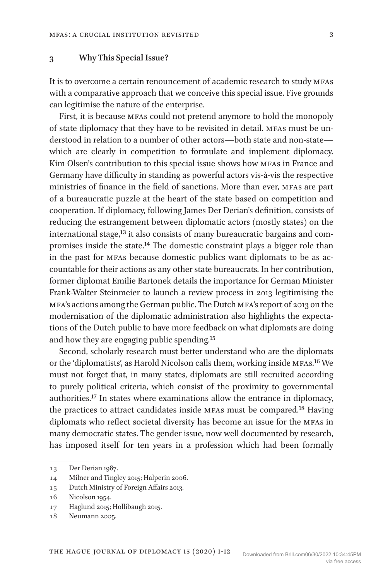## **3 Why This Special Issue?**

It is to overcome a certain renouncement of academic research to study MFAs with a comparative approach that we conceive this special issue. Five grounds can legitimise the nature of the enterprise.

First, it is because MFAs could not pretend anymore to hold the monopoly of state diplomacy that they have to be revisited in detail. MFAs must be understood in relation to a number of other actors—both state and non-state which are clearly in competition to formulate and implement diplomacy. Kim Olsen's contribution to this special issue shows how MFAs in France and Germany have difficulty in standing as powerful actors vis-à-vis the respective ministries of finance in the field of sanctions. More than ever, MFAs are part of a bureaucratic puzzle at the heart of the state based on competition and cooperation. If diplomacy, following James Der Derian's definition, consists of reducing the estrangement between diplomatic actors (mostly states) on the international stage,<sup>13</sup> it also consists of many bureaucratic bargains and compromises inside the state.14 The domestic constraint plays a bigger role than in the past for MFAs because domestic publics want diplomats to be as accountable for their actions as any other state bureaucrats. In her contribution, former diplomat Emilie Bartonek details the importance for German Minister Frank-Walter Steinmeier to launch a review process in 2013 legitimising the MFA's actions among the German public. The Dutch MFA's report of 2013 on the modernisation of the diplomatic administration also highlights the expectations of the Dutch public to have more feedback on what diplomats are doing and how they are engaging public spending.15

Second, scholarly research must better understand who are the diplomats or the 'diplomatists', as Harold Nicolson calls them, working inside MFAs.16 We must not forget that, in many states, diplomats are still recruited according to purely political criteria, which consist of the proximity to governmental authorities.17 In states where examinations allow the entrance in diplomacy, the practices to attract candidates inside MFAs must be compared.18 Having diplomats who reflect societal diversity has become an issue for the MFAs in many democratic states. The gender issue, now well documented by research, has imposed itself for ten years in a profession which had been formally

<sup>13</sup> Der Derian 1987.

<sup>14</sup> Milner and Tingley 2015; Halperin 2006.

<sup>15</sup> Dutch Ministry of Foreign Affairs 2013.

<sup>16</sup> Nicolson 1954.

<sup>17</sup> Haglund 2015; Hollibaugh 2015.

<sup>18</sup> Neumann 2005.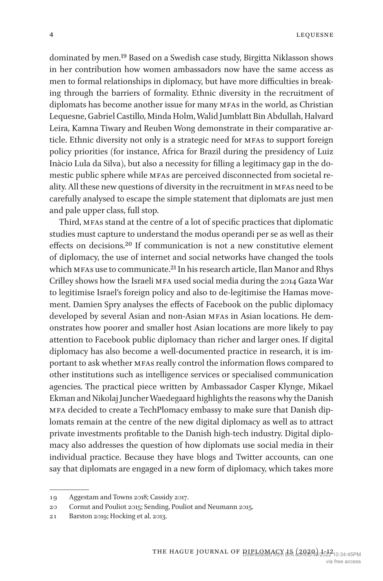dominated by men.19 Based on a Swedish case study, Birgitta Niklasson shows in her contribution how women ambassadors now have the same access as men to formal relationships in diplomacy, but have more difficulties in breaking through the barriers of formality. Ethnic diversity in the recruitment of diplomats has become another issue for many MFAs in the world, as Christian Lequesne, Gabriel Castillo, Minda Holm, Walid Jumblatt Bin Abdullah, Halvard Leira, Kamna Tiwary and Reuben Wong demonstrate in their comparative article. Ethnic diversity not only is a strategic need for MFAs to support foreign policy priorities (for instance, Africa for Brazil during the presidency of Luiz Inàcio Lula da Silva), but also a necessity for filling a legitimacy gap in the domestic public sphere while MFAs are perceived disconnected from societal reality. All these new questions of diversity in the recruitment in MFAs need to be carefully analysed to escape the simple statement that diplomats are just men and pale upper class, full stop.

Third, MFAs stand at the centre of a lot of specific practices that diplomatic studies must capture to understand the modus operandi per se as well as their effects on decisions.20 If communication is not a new constitutive element of diplomacy, the use of internet and social networks have changed the tools which MFAs use to communicate.21 In his research article, Ilan Manor and Rhys Crilley shows how the Israeli MFA used social media during the 2014 Gaza War to legitimise Israel's foreign policy and also to de-legitimise the Hamas movement. Damien Spry analyses the effects of Facebook on the public diplomacy developed by several Asian and non-Asian MFAs in Asian locations. He demonstrates how poorer and smaller host Asian locations are more likely to pay attention to Facebook public diplomacy than richer and larger ones. If digital diplomacy has also become a well-documented practice in research, it is important to ask whether MFAs really control the information flows compared to other institutions such as intelligence services or specialised communication agencies. The practical piece written by Ambassador Casper Klynge, Mikael Ekman and Nikolaj Juncher Waedegaard highlights the reasons why the Danish MFA decided to create a TechPlomacy embassy to make sure that Danish diplomats remain at the centre of the new digital diplomacy as well as to attract private investments profitable to the Danish high-tech industry. Digital diplomacy also addresses the question of how diplomats use social media in their individual practice. Because they have blogs and Twitter accounts, can one say that diplomats are engaged in a new form of diplomacy, which takes more

<sup>19</sup> Aggestam and Towns 2018; Cassidy 2017.

<sup>20</sup> Cornut and Pouliot 2015; Sending, Pouliot and Neumann 2015.

<sup>21</sup> Barston 2019; Hocking et al. 2013.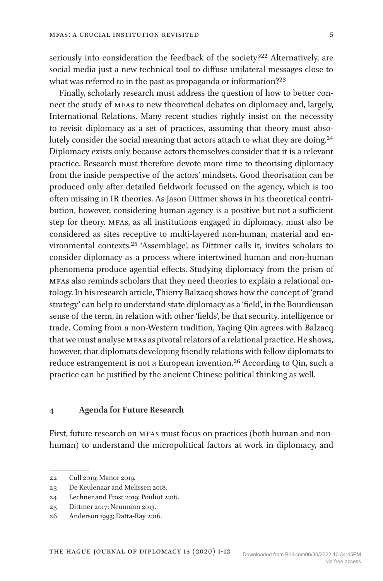seriously into consideration the feedback of the society?<sup>22</sup> Alternatively, are social media just a new technical tool to diffuse unilateral messages close to what was referred to in the past as propaganda or information?<sup>23</sup>

Finally, scholarly research must address the question of how to better connect the study of MFAs to new theoretical debates on diplomacy and, largely, International Relations. Many recent studies rightly insist on the necessity to revisit diplomacy as a set of practices, assuming that theory must absolutely consider the social meaning that actors attach to what they are doing.24 Diplomacy exists only because actors themselves consider that it is a relevant practice. Research must therefore devote more time to theorising diplomacy from the inside perspective of the actors' mindsets. Good theorisation can be produced only after detailed fieldwork focussed on the agency, which is too often missing in IR theories. As Jason Dittmer shows in his theoretical contribution, however, considering human agency is a positive but not a sufficient step for theory. MFAs, as all institutions engaged in diplomacy, must also be considered as sites receptive to multi-layered non-human, material and environmental contexts.25 'Assemblage', as Dittmer calls it, invites scholars to consider diplomacy as a process where intertwined human and non-human phenomena produce agential effects. Studying diplomacy from the prism of MFAs also reminds scholars that they need theories to explain a relational ontology. In his research article, Thierry Balzacq shows how the concept of 'grand strategy' can help to understand state diplomacy as a 'field', in the Bourdieusan sense of the term, in relation with other 'fields', be that security, intelligence or trade. Coming from a non-Western tradition, Yaqing Qin agrees with Balzacq that we must analyse MFAs as pivotal relators of a relational practice. He shows, however, that diplomats developing friendly relations with fellow diplomats to reduce estrangement is not a European invention.26 According to Qin, such a practice can be justified by the ancient Chinese political thinking as well.

## **4 Agenda for Future Research**

First, future research on MFAs must focus on practices (both human and nonhuman) to understand the micropolitical factors at work in diplomacy, and

<sup>22</sup> Cull 2019; Manor 2019.

<sup>23</sup> De Keulenaar and Melissen 2018.

<sup>24</sup> Lechner and Frost 2019; Pouliot 2016.

<sup>25</sup> Dittmer 2017; Neumann 2013.

<sup>26</sup> Anderson 1993; Datta-Ray 2016.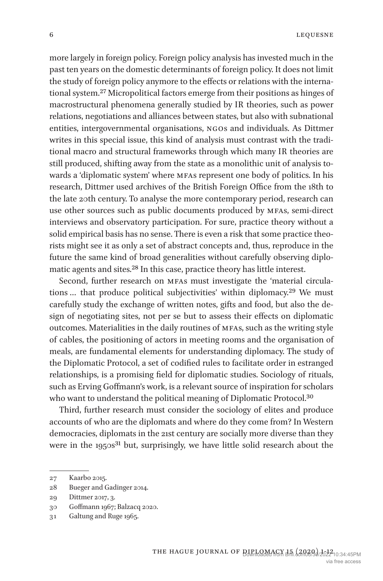more largely in foreign policy. Foreign policy analysis has invested much in the past ten years on the domestic determinants of foreign policy. It does not limit the study of foreign policy anymore to the effects or relations with the international system.27 Micropolitical factors emerge from their positions as hinges of macrostructural phenomena generally studied by IR theories, such as power relations, negotiations and alliances between states, but also with subnational entities, intergovernmental organisations, NGOs and individuals. As Dittmer writes in this special issue, this kind of analysis must contrast with the traditional macro and structural frameworks through which many IR theories are still produced, shifting away from the state as a monolithic unit of analysis towards a 'diplomatic system' where MFAs represent one body of politics. In his research, Dittmer used archives of the British Foreign Office from the 18th to the late 20th century. To analyse the more contemporary period, research can use other sources such as public documents produced by MFAs, semi-direct interviews and observatory participation. For sure, practice theory without a solid empirical basis has no sense. There is even a risk that some practice theorists might see it as only a set of abstract concepts and, thus, reproduce in the future the same kind of broad generalities without carefully observing diplomatic agents and sites.28 In this case, practice theory has little interest.

Second, further research on MFAs must investigate the 'material circulations … that produce political subjectivities' within diplomacy.29 We must carefully study the exchange of written notes, gifts and food, but also the design of negotiating sites, not per se but to assess their effects on diplomatic outcomes. Materialities in the daily routines of MFAs, such as the writing style of cables, the positioning of actors in meeting rooms and the organisation of meals, are fundamental elements for understanding diplomacy. The study of the Diplomatic Protocol, a set of codified rules to facilitate order in estranged relationships, is a promising field for diplomatic studies. Sociology of rituals, such as Erving Goffmann's work, is a relevant source of inspiration for scholars who want to understand the political meaning of Diplomatic Protocol.<sup>30</sup>

Third, further research must consider the sociology of elites and produce accounts of who are the diplomats and where do they come from? In Western democracies, diplomats in the 21st century are socially more diverse than they were in the 1950s<sup>31</sup> but, surprisingly, we have little solid research about the

<sup>27</sup> Kaarbo 2015.

<sup>28</sup> Bueger and Gadinger 2014.

<sup>29</sup> Dittmer 2017, 3.

<sup>30</sup> Goffmann 1967; Balzacq 2020.

<sup>31</sup> Galtung and Ruge 1965.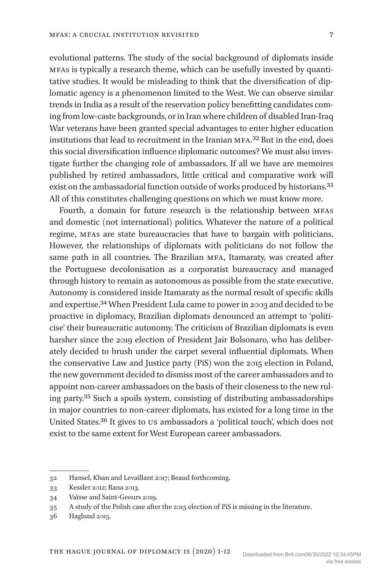evolutional patterns. The study of the social background of diplomats inside MFAs is typically a research theme, which can be usefully invested by quantitative studies. It would be misleading to think that the diversification of diplomatic agency is a phenomenon limited to the West. We can observe similar trends in India as a result of the reservation policy benefitting candidates coming from low-caste backgrounds, or in Iran where children of disabled Iran-Iraq War veterans have been granted special advantages to enter higher education institutions that lead to recruitment in the Iranian MFA.32 But in the end, does this social diversification influence diplomatic outcomes? We must also investigate further the changing role of ambassadors. If all we have are memoires published by retired ambassadors, little critical and comparative work will exist on the ambassadorial function outside of works produced by historians.<sup>33</sup> All of this constitutes challenging questions on which we must know more.

Fourth, a domain for future research is the relationship between MFAs and domestic (not international) politics. Whatever the nature of a political regime, MFAs are state bureaucracies that have to bargain with politicians. However, the relationships of diplomats with politicians do not follow the same path in all countries. The Brazilian MFA, Itamaraty, was created after the Portuguese decolonisation as a corporatist bureaucracy and managed through history to remain as autonomous as possible from the state executive. Autonomy is considered inside Itamaraty as the normal result of specific skills and expertise.34 When President Lula came to power in 2003 and decided to be proactive in diplomacy, Brazilian diplomats denounced an attempt to 'politicise' their bureaucratic autonomy. The criticism of Brazilian diplomats is even harsher since the 2019 election of President Jair Bolsonaro, who has deliberately decided to brush under the carpet several influential diplomats. When the conservative Law and Justice party (PiS) won the 2015 election in Poland, the new government decided to dismiss most of the career ambassadors and to appoint non-career ambassadors on the basis of their closeness to the new ruling party.35 Such a spoils system, consisting of distributing ambassadorships in major countries to non-career diplomats, has existed for a long time in the United States.36 It gives to US ambassadors a 'political touch', which does not exist to the same extent for West European career ambassadors.

<sup>32</sup> Hansel, Khan and Levaillant 2017; Beaud forthcoming.

<sup>33</sup> Kessler 2012; Rana 2013.

<sup>34</sup> Vaïsse and Saint-Geours 2019.

<sup>35</sup> A study of the Polish case after the 2015 election of PiS is missing in the literature.

<sup>36</sup> Haglund 2015.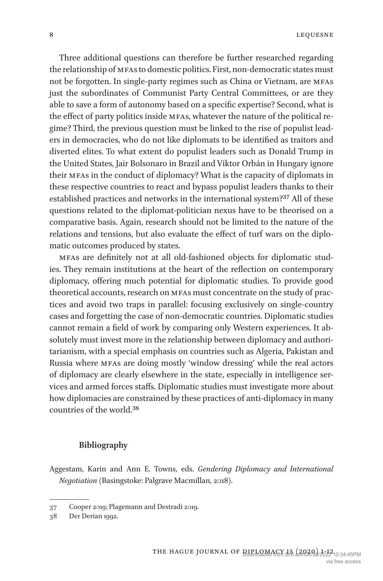Three additional questions can therefore be further researched regarding the relationship of MFAs to domestic politics. First, non-democratic states must not be forgotten. In single-party regimes such as China or Vietnam, are MFAs just the subordinates of Communist Party Central Committees, or are they able to save a form of autonomy based on a specific expertise? Second, what is the effect of party politics inside MFAs, whatever the nature of the political regime? Third, the previous question must be linked to the rise of populist leaders in democracies, who do not like diplomats to be identified as traitors and diverted elites. To what extent do populist leaders such as Donald Trump in the United States, Jair Bolsonaro in Brazil and Viktor Orbán in Hungary ignore their MFAs in the conduct of diplomacy? What is the capacity of diplomats in these respective countries to react and bypass populist leaders thanks to their established practices and networks in the international system?<sup>37</sup> All of these questions related to the diplomat-politician nexus have to be theorised on a comparative basis. Again, research should not be limited to the nature of the relations and tensions, but also evaluate the effect of turf wars on the diplomatic outcomes produced by states.

MFAs are definitely not at all old-fashioned objects for diplomatic studies. They remain institutions at the heart of the reflection on contemporary diplomacy, offering much potential for diplomatic studies. To provide good theoretical accounts, research on MFAs must concentrate on the study of practices and avoid two traps in parallel: focusing exclusively on single-country cases and forgetting the case of non-democratic countries. Diplomatic studies cannot remain a field of work by comparing only Western experiences. It absolutely must invest more in the relationship between diplomacy and authoritarianism, with a special emphasis on countries such as Algeria, Pakistan and Russia where MFAs are doing mostly 'window dressing' while the real actors of diplomacy are clearly elsewhere in the state, especially in intelligence services and armed forces staffs. Diplomatic studies must investigate more about how diplomacies are constrained by these practices of anti-diplomacy in many countries of the world.38

## **Bibliography**

Aggestam, Karin and Ann E. Towns, eds. *Gendering Diplomacy and International Negotiation* (Basingstoke: Palgrave Macmillan, 2018).

<sup>37</sup> Cooper 2019; Plagemann and Destradi 2019.

<sup>38</sup> Der Derian 1992.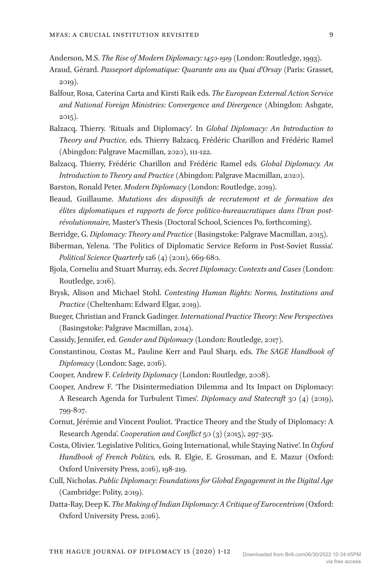Anderson, M.S. *The Rise of Modern Diplomacy: 1450-1919* (London: Routledge, 1993).

- Araud, Gérard. *Passeport diplomatique: Quarante ans au Quai d'Orsay* (Paris: Grasset, 2019).
- Balfour, Rosa, Caterina Carta and Kirsti Raik eds. *The European External Action Service and National Foreign Ministries: Convergence and Divergence* (Abingdon: Ashgate, 2015).
- Balzacq, Thierry. 'Rituals and Diplomacy'. In *Global Diplomacy: An Introduction to Theory and Practice,* eds. Thierry Balzacq, Frédéric Charillon and Frédéric Ramel (Abingdon: Palgrave Macmillan, 2020), 111-122.
- Balzacq, Thierry, Frédéric Charillon and Frédéric Ramel eds*. Global Diplomacy. An Introduction to Theory and Practice* (Abingdon: Palgrave Macmillan, 2020).
- Barston, Ronald Peter. *Modern Diplomacy* (London: Routledge, 2019).
- Beaud, Guillaume. *Mutations des dispositifs de recrutement et de formation des élites diplomatiques et rapports de force politico-bureaucratiques dans l'Iran postrévolutionnaire,* Master's Thesis (Doctoral School, Sciences Po, forthcoming).
- Berridge, G. *Diplomacy: Theory and Practice* (Basingstoke: Palgrave Macmillan, 2015).
- Biberman, Yelena. 'The Politics of Diplomatic Service Reform in Post-Soviet Russia'. *Political Science Quarterly* 126 (4) (2011), 669-680.
- Bjola, Corneliu and Stuart Murray, eds. *Secret Diplomacy: Contexts and Cases* (London: Routledge, 2016).
- Brysk, Alison and Michael Stohl. *Contesting Human Rights: Norms, Institutions and Practice* (Cheltenham: Edward Elgar, 2019).
- Bueger, Christian and Franck Gadinger. *International Practice Theory: New Perspectives* (Basingstoke: Palgrave Macmillan, 2014).
- Cassidy, Jennifer, ed. *Gender and Diplomacy* (London: Routledge, 2017).
- Constantinou, Costas M., Pauline Kerr and Paul Sharp, eds. *The SAGE Handbook of Diplomacy* (London: Sage, 2016).
- Cooper, Andrew F. *Celebrity Diplomacy* (London: Routledge, 2008).
- Cooper, Andrew F. 'The Disintermediation Dilemma and Its Impact on Diplomacy: A Research Agenda for Turbulent Times'. *Diplomacy and Statecraft* 30 (4) (2019), 799-807.
- Cornut, Jérémie and Vincent Pouliot. 'Practice Theory and the Study of Diplomacy: A Research Agenda'. *Cooperation and Conflict* 50 (3) (2015), 297-315.
- Costa, Olivier. 'Legislative Politics, Going International, while Staying Native'. In *Oxford Handbook of French Politics,* eds. R. Elgie, E. Grossman, and E. Mazur (Oxford: Oxford University Press, 2016), 198-219.
- Cull, Nicholas. *Public Diplomacy: Foundations for Global Engagement in the Digital Age* (Cambridge: Polity, 2019).
- Datta-Ray, Deep K. *TheMaking of Indian Diplomacy: A Critique of Eurocentrism* (Oxford: Oxford University Press, 2016).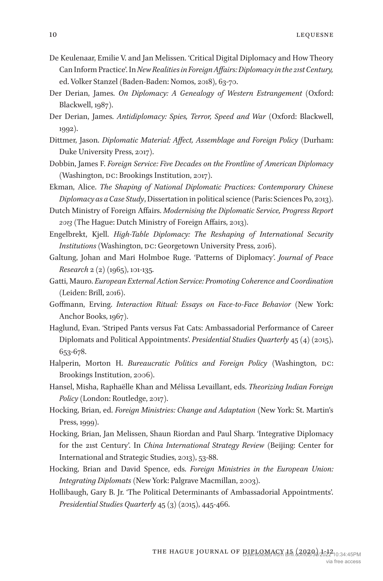- De Keulenaar, Emilie V. and Jan Melissen. 'Critical Digital Diplomacy and How Theory Can Inform Practice'. In *New Realities in Foreign Affairs: Diplomacy in the 21st Century,*  ed. Volker Stanzel (Baden-Baden: Nomos, 2018), 63-70.
- Der Derian, James. *On Diplomacy: A Genealogy of Western Estrangement* (Oxford: Blackwell, 1987).
- Der Derian, James. *Antidiplomacy: Spies, Terror, Speed and War* (Oxford: Blackwell, 1992).
- Dittmer, Jason. *Diplomatic Material: Affect, Assemblage and Foreign Policy* (Durham: Duke University Press, 2017).
- Dobbin, James F. *Foreign Service: Five Decades on the Frontline of American Diplomacy* (Washington, DC: Brookings Institution, 2017).
- Ekman, Alice. *The Shaping of National Diplomatic Practices: Contemporary Chinese Diplomacy as a Case Study*, Dissertation in political science (Paris: Sciences Po, 2013).
- Dutch Ministry of Foreign Affairs. *Modernising the Diplomatic Service, Progress Report 2013* (The Hague: Dutch Ministry of Foreign Affairs, 2013).
- Engelbrekt, Kjell. *High-Table Diplomacy: The Reshaping of International Security Institutions* (Washington, DC: Georgetown University Press, 2016).
- Galtung, Johan and Mari Holmboe Ruge. 'Patterns of Diplomacy'. *Journal of Peace Research* 2 (2) (1965), 101-135.
- Gatti, Mauro. *European External Action Service: Promoting Coherence and Coordination* (Leiden: Brill, 2016).
- Goffmann, Erving. *Interaction Ritual: Essays on Face-to-Face Behavior* (New York: Anchor Books, 1967).
- Haglund, Evan. 'Striped Pants versus Fat Cats: Ambassadorial Performance of Career Diplomats and Political Appointments'. *Presidential Studies Quarterly* 45 (4) (2015), 653-678.
- Halperin, Morton H. *Bureaucratic Politics and Foreign Policy* (Washington, DC: Brookings Institution, 2006).
- Hansel, Misha, Raphaëlle Khan and Mélissa Levaillant, eds. *Theorizing Indian Foreign Policy* (London: Routledge, 2017).
- Hocking, Brian, ed. *Foreign Ministries: Change and Adaptation* (New York: St. Martin's Press, 1999).
- Hocking, Brian, Jan Melissen, Shaun Riordan and Paul Sharp. 'Integrative Diplomacy for the 21st Century'. In *China International Strategy Review* (Beijing: Center for International and Strategic Studies, 2013), 53-88.
- Hocking, Brian and David Spence, eds. *Foreign Ministries in the European Union: Integrating Diplomats* (New York: Palgrave Macmillan, 2003).
- Hollibaugh, Gary B. Jr. 'The Political Determinants of Ambassadorial Appointments'. *Presidential Studies Quarterly* 45 (3) (2015), 445-466.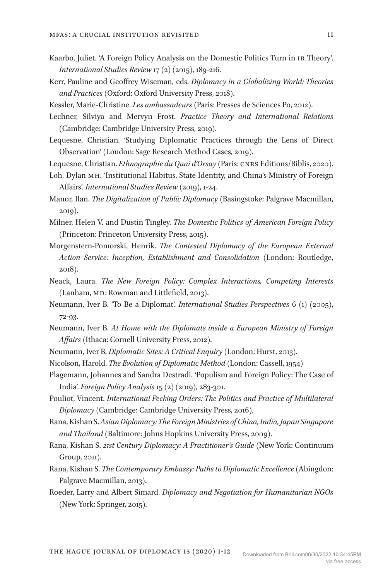- Kaarbo, Juliet. 'A Foreign Policy Analysis on the Domestic Politics Turn in IR Theory'. *International Studies Review* 17 (2) (2015), 189-216.
- Kerr, Pauline and Geoffrey Wiseman, eds. *Diplomacy in a Globalizing World: Theories and Practices* (Oxford: Oxford University Press, 2018).

Kessler, Marie-Christine. *Les ambassadeurs* (Paris: Presses de Sciences Po, 2012).

- Lechner, Silviya and Mervyn Frost. *Practice Theory and International Relations* (Cambridge: Cambridge University Press, 2019).
- Lequesne, Christian. 'Studying Diplomatic Practices through the Lens of Direct Observation' (London: Sage Research Method Cases, 2019).
- Lequesne, Christian. *Ethnographie du Quai d'Orsay* (Paris: CNRS Editions/Biblis, 2020).
- Loh, Dylan MH. 'Institutional Habitus, State Identity, and China's Ministry of Foreign Affairs'. *International Studies Review* (2019), 1-24.
- Manor, Ilan. *The Digitalization of Public Diplomacy* (Basingstoke: Palgrave Macmillan, 2019).
- Milner, Helen V. and Dustin Tingley. *The Domestic Politics of American Foreign Policy* (Princeton: Princeton University Press, 2015).
- Morgenstern-Pomorski, Henrik. *The Contested Diplomacy of the European External Action Service: Inception, Establishment and Consolidation* (London: Routledge, 2018).
- Neack, Laura. *The New Foreign Policy: Complex Interactions, Competing Interests* (Lanham, MD: Rowman and Littlefield, 2013).
- Neumann, Iver B. 'To Be a Diplomat'. *International Studies Perspectives* 6 (1) (2005), 72-93.
- Neumann, Iver B. *At Home with the Diplomats inside a European Ministry of Foreign Affairs* (Ithaca: Cornell University Press, 2012).
- Neumann, Iver B. *Diplomatic Sites: A Critical Enquiry* (London: Hurst, 2013).
- Nicolson, Harold. *The Evolution of Diplomatic Method* (London: Cassell, 1954)
- Plagemann, Johannes and Sandra Destradi. 'Populism and Foreign Policy: The Case of India'. *Foreign Policy Analysis* 15 (2) (2019), 283-301.
- Pouliot, Vincent. *International Pecking Orders: The Politics and Practice of Multilateral Diplomacy* (Cambridge: Cambridge University Press, 2016).
- Rana, Kishan S. *AsianDiplomacy: The Foreign Ministries of China, India, Japan Singapore and Thailand* (Baltimore: Johns Hopkins University Press, 2009).
- Rana, Kishan S. *21st Century Diplomacy: A Practitioner's Guide* (New York: Continuum Group, 2011).
- Rana, Kishan S. *The Contemporary Embassy: Paths to Diplomatic Excellence* (Abingdon: Palgrave Macmillan, 2013).
- Roeder, Larry and Albert Simard. *Diplomacy and Negotiation for Humanitarian NGOs* (New York: Springer, 2015).